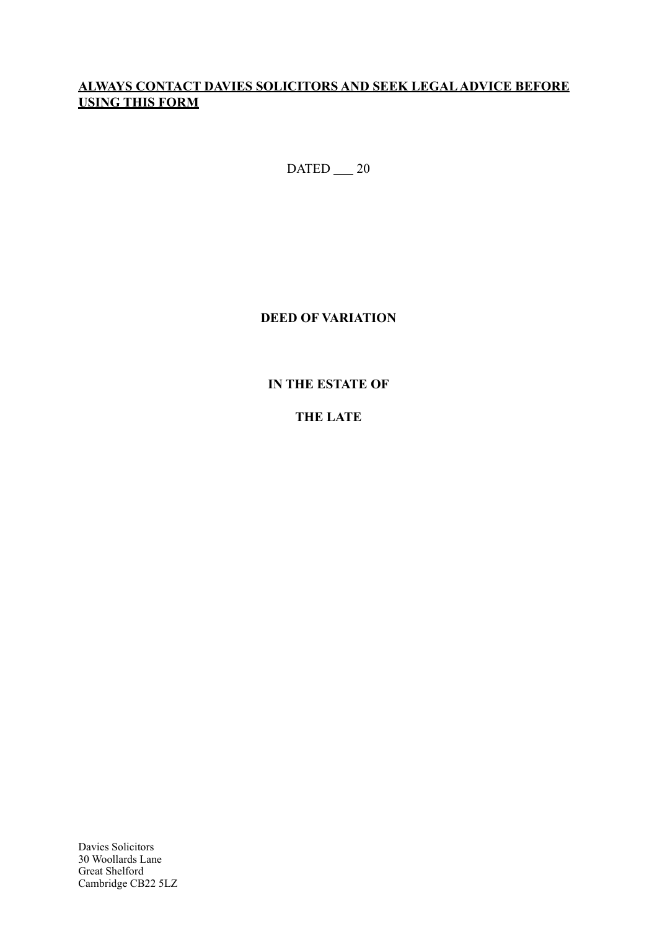## **ALWAYS CONTACT DAVIES SOLICITORS AND SEEK LEGAL ADVICE BEFORE USING THIS FORM**

 $DATA = 20$ 

## **DEED OF VARIATION**

**IN THE ESTATE OF**

**THE LATE** 

Davies Solicitors 30 Woollards Lane Great Shelford Cambridge CB22 5LZ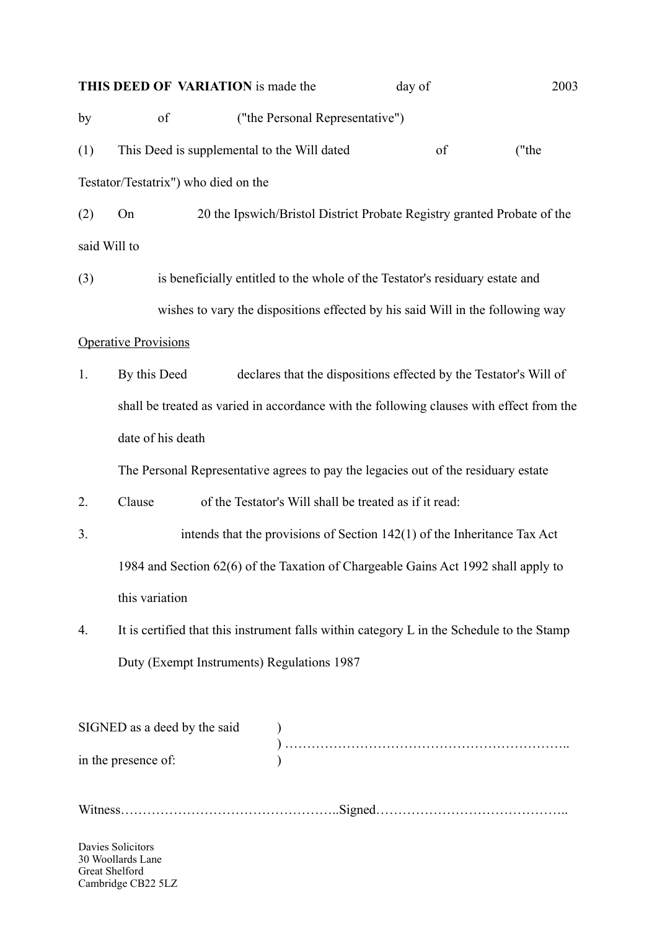|                              |                                                                                    | THIS DEED OF VARIATION is made the          |                                            | day of                                                                                    | 2003  |  |
|------------------------------|------------------------------------------------------------------------------------|---------------------------------------------|--------------------------------------------|-------------------------------------------------------------------------------------------|-------|--|
| by                           | of                                                                                 |                                             | ("the Personal Representative")            |                                                                                           |       |  |
| (1)                          |                                                                                    | This Deed is supplemental to the Will dated |                                            | of                                                                                        | ("the |  |
|                              |                                                                                    | Testator/Testatrix") who died on the        |                                            |                                                                                           |       |  |
| (2)                          | On                                                                                 |                                             |                                            | 20 the Ipswich/Bristol District Probate Registry granted Probate of the                   |       |  |
| said Will to                 |                                                                                    |                                             |                                            |                                                                                           |       |  |
| (3)                          |                                                                                    |                                             |                                            | is beneficially entitled to the whole of the Testator's residuary estate and              |       |  |
|                              |                                                                                    |                                             |                                            | wishes to vary the dispositions effected by his said Will in the following way            |       |  |
|                              | <b>Operative Provisions</b>                                                        |                                             |                                            |                                                                                           |       |  |
| 1.                           | By this Deed                                                                       |                                             |                                            | declares that the dispositions effected by the Testator's Will of                         |       |  |
|                              |                                                                                    |                                             |                                            | shall be treated as varied in accordance with the following clauses with effect from the  |       |  |
|                              | date of his death                                                                  |                                             |                                            |                                                                                           |       |  |
|                              | The Personal Representative agrees to pay the legacies out of the residuary estate |                                             |                                            |                                                                                           |       |  |
| 2.                           | Clause                                                                             |                                             |                                            | of the Testator's Will shall be treated as if it read:                                    |       |  |
| 3.                           |                                                                                    |                                             |                                            | intends that the provisions of Section $142(1)$ of the Inheritance Tax Act                |       |  |
|                              |                                                                                    |                                             |                                            | 1984 and Section 62(6) of the Taxation of Chargeable Gains Act 1992 shall apply to        |       |  |
|                              | this variation                                                                     |                                             |                                            |                                                                                           |       |  |
| 4.                           |                                                                                    |                                             |                                            | It is certified that this instrument falls within category L in the Schedule to the Stamp |       |  |
|                              |                                                                                    |                                             | Duty (Exempt Instruments) Regulations 1987 |                                                                                           |       |  |
|                              |                                                                                    |                                             |                                            |                                                                                           |       |  |
| SIGNED as a deed by the said |                                                                                    |                                             |                                            |                                                                                           |       |  |
| in the presence of:          |                                                                                    |                                             |                                            |                                                                                           |       |  |

Witness…………………………………………..Signed……………………………………..

Davies Solicitors 30 Woollards Lane Great Shelford Cambridge CB22 5LZ